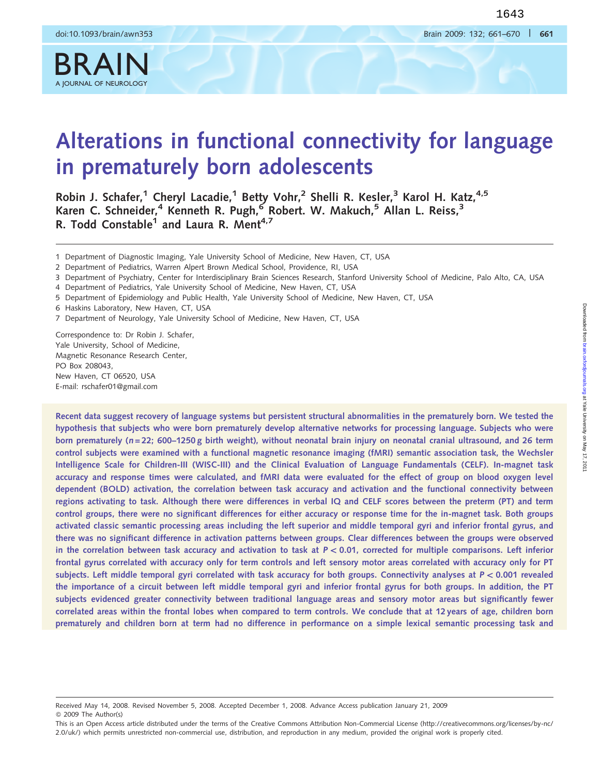# Alterations in functional connectivity for language in prematurely born adolescents

Robin J. Schafer,<sup>1</sup> Cheryl Lacadie,<sup>1</sup> Betty Vohr,<sup>2</sup> Shelli R. Kesler,<sup>3</sup> Karol H. Katz,<sup>4,5</sup> Karen C. Schneider,<sup>4</sup> Kenneth R. Pugh,<sup>6</sup> Robert. W. Makuch,<sup>5</sup> Allan L. Reiss,<sup>3</sup> R. Todd Constable<sup>1</sup> and Laura R. Ment<sup>4,7</sup>

- 2 Department of Pediatrics, Warren Alpert Brown Medical School, Providence, RI, USA
- 3 Department of Psychiatry, Center for Interdisciplinary Brain Sciences Research, Stanford University School of Medicine, Palo Alto, CA, USA
- 4 Department of Pediatrics, Yale University School of Medicine, New Haven, CT, USA
- 5 Department of Epidemiology and Public Health, Yale University School of Medicine, New Haven, CT, USA
- 6 Haskins Laboratory, New Haven, CT, USA
- 7 Department of Neurology, Yale University School of Medicine, New Haven, CT, USA

Correspondence to: Dr Robin J. Schafer, Yale University, School of Medicine, Magnetic Resonance Research Center, PO Box 208043, New Haven, CT 06520, USA E-mail: rschafer01@gmail.com

Recent data suggest recovery of language systems but persistent structural abnormalities in the prematurely born. We tested the hypothesis that subjects who were born prematurely develop alternative networks for processing language. Subjects who were born prematurely ( $n = 22$ ; 600–1250 g birth weight), without neonatal brain injury on neonatal cranial ultrasound, and 26 term control subjects were examined with a functional magnetic resonance imaging (fMRI) semantic association task, the Wechsler Intelligence Scale for Children-III (WISC-III) and the Clinical Evaluation of Language Fundamentals (CELF). In-magnet task accuracy and response times were calculated, and fMRI data were evaluated for the effect of group on blood oxygen level dependent (BOLD) activation, the correlation between task accuracy and activation and the functional connectivity between regions activating to task. Although there were differences in verbal IQ and CELF scores between the preterm (PT) and term control groups, there were no significant differences for either accuracy or response time for the in-magnet task. Both groups activated classic semantic processing areas including the left superior and middle temporal gyri and inferior frontal gyrus, and there was no significant difference in activation patterns between groups. Clear differences between the groups were observed in the correlation between task accuracy and activation to task at  $P < 0.01$ , corrected for multiple comparisons. Left inferior frontal gyrus correlated with accuracy only for term controls and left sensory motor areas correlated with accuracy only for PT subjects. Left middle temporal gyri correlated with task accuracy for both groups. Connectivity analyses at  $P < 0.001$  revealed the importance of a circuit between left middle temporal gyri and inferior frontal gyrus for both groups. In addition, the PT subjects evidenced greater connectivity between traditional language areas and sensory motor areas but significantly fewer correlated areas within the frontal lobes when compared to term controls. We conclude that at 12 years of age, children born prematurely and children born at term had no difference in performance on a simple lexical semantic processing task and

Received May 14, 2008. Revised November 5, 2008. Accepted December 1, 2008. Advance Access publication January 21, 2009 2009 The Author(s)

<sup>1</sup> Department of Diagnostic Imaging, Yale University School of Medicine, New Haven, CT, USA

This is an Open Access article distributed under the terms of the Creative Commons Attribution Non-Commercial License [\(http://creativecommons.org/licenses/by-nc/](http://creativecommons.org/licenses/by-nc/) 2.0/uk/) which permits unrestricted non-commercial use, distribution, and reproduction in any medium, provided the original work is properly cited.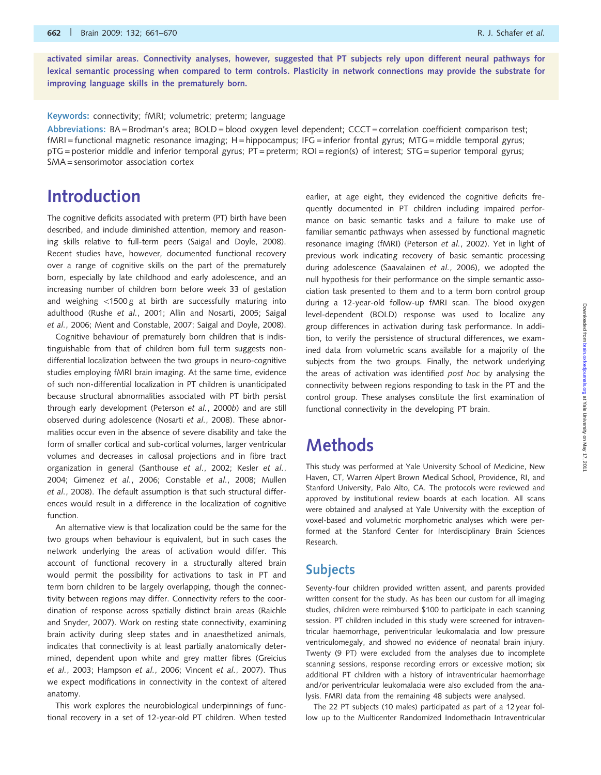activated similar areas. Connectivity analyses, however, suggested that PT subjects rely upon different neural pathways for lexical semantic processing when compared to term controls. Plasticity in network connections may provide the substrate for improving language skills in the prematurely born.

Keywords: connectivity; fMRI; volumetric; preterm; language

Abbreviations: BA = Brodman's area; BOLD = blood oxygen level dependent; CCCT = correlation coefficient comparison test; fMRI = functional magnetic resonance imaging; H = hippocampus; IFG = inferior frontal gyrus; MTG = middle temporal gyrus; pTG = posterior middle and inferior temporal gyrus; PT = preterm; ROI = region(s) of interest; STG = superior temporal gyrus; SMA = sensorimotor association cortex

## Introduction

The cognitive deficits associated with preterm (PT) birth have been described, and include diminished attention, memory and reasoning skills relative to full-term peers (Saigal and Doyle, 2008). Recent studies have, however, documented functional recovery over a range of cognitive skills on the part of the prematurely born, especially by late childhood and early adolescence, and an increasing number of children born before week 33 of gestation and weighing  $<$ 1500 g at birth are successfully maturing into adulthood (Rushe et al., 2001; Allin and Nosarti, 2005; Saigal et al., 2006; Ment and Constable, 2007; Saigal and Doyle, 2008).

Cognitive behaviour of prematurely born children that is indistinguishable from that of children born full term suggests nondifferential localization between the two groups in neuro-cognitive studies employing fMRI brain imaging. At the same time, evidence of such non-differential localization in PT children is unanticipated because structural abnormalities associated with PT birth persist through early development (Peterson et al., 2000b) and are still observed during adolescence (Nosarti et al., 2008). These abnormalities occur even in the absence of severe disability and take the form of smaller cortical and sub-cortical volumes, larger ventricular volumes and decreases in callosal projections and in fibre tract organization in general (Santhouse et al., 2002; Kesler et al., 2004; Gimenez et al., 2006; Constable et al., 2008; Mullen et al., 2008). The default assumption is that such structural differences would result in a difference in the localization of cognitive function.

An alternative view is that localization could be the same for the two groups when behaviour is equivalent, but in such cases the network underlying the areas of activation would differ. This account of functional recovery in a structurally altered brain would permit the possibility for activations to task in PT and term born children to be largely overlapping, though the connectivity between regions may differ. Connectivity refers to the coordination of response across spatially distinct brain areas (Raichle and Snyder, 2007). Work on resting state connectivity, examining brain activity during sleep states and in anaesthetized animals, indicates that connectivity is at least partially anatomically determined, dependent upon white and grey matter fibres (Greicius et al., 2003; Hampson et al., 2006; Vincent et al., 2007). Thus we expect modifications in connectivity in the context of altered anatomy.

This work explores the neurobiological underpinnings of functional recovery in a set of 12-year-old PT children. When tested earlier, at age eight, they evidenced the cognitive deficits frequently documented in PT children including impaired performance on basic semantic tasks and a failure to make use of familiar semantic pathways when assessed by functional magnetic resonance imaging (fMRI) (Peterson et al., 2002). Yet in light of previous work indicating recovery of basic semantic processing during adolescence (Saavalainen et al., 2006), we adopted the null hypothesis for their performance on the simple semantic association task presented to them and to a term born control group during a 12-year-old follow-up fMRI scan. The blood oxygen level-dependent (BOLD) response was used to localize any group differences in activation during task performance. In addition, to verify the persistence of structural differences, we examined data from volumetric scans available for a majority of the subjects from the two groups. Finally, the network underlying the areas of activation was identified post hoc by analysing the connectivity between regions responding to task in the PT and the control group. These analyses constitute the first examination of functional connectivity in the developing PT brain.

## Methods

This study was performed at Yale University School of Medicine, New Haven, CT, Warren Alpert Brown Medical School, Providence, RI, and Stanford University, Palo Alto, CA. The protocols were reviewed and approved by institutional review boards at each location. All scans were obtained and analysed at Yale University with the exception of voxel-based and volumetric morphometric analyses which were performed at the Stanford Center for Interdisciplinary Brain Sciences Research.

### Subjects

Seventy-four children provided written assent, and parents provided written consent for the study. As has been our custom for all imaging studies, children were reimbursed \$100 to participate in each scanning session. PT children included in this study were screened for intraventricular haemorrhage, periventricular leukomalacia and low pressure ventriculomegaly, and showed no evidence of neonatal brain injury. Twenty (9 PT) were excluded from the analyses due to incomplete scanning sessions, response recording errors or excessive motion; six additional PT children with a history of intraventricular haemorrhage and/or periventricular leukomalacia were also excluded from the analysis. FMRI data from the remaining 48 subjects were analysed.

The 22 PT subjects (10 males) participated as part of a 12 year follow up to the Multicenter Randomized Indomethacin Intraventricular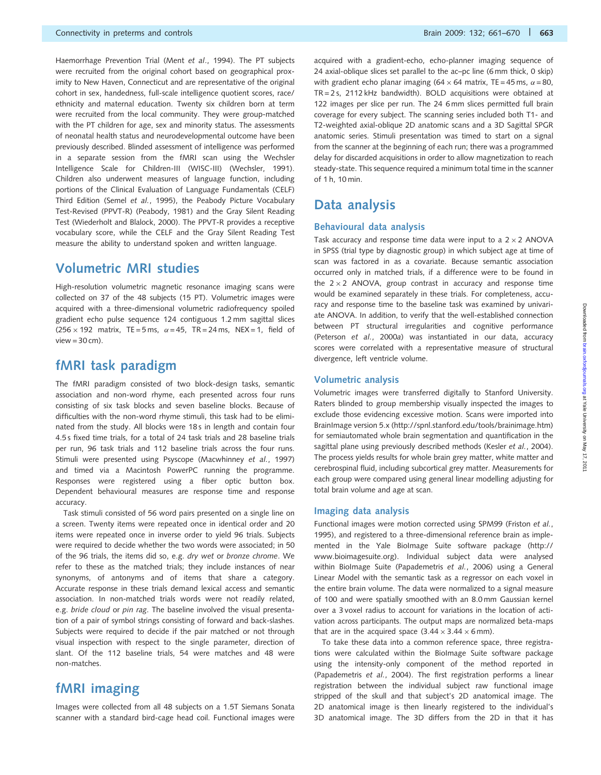Haemorrhage Prevention Trial (Ment et al., 1994). The PT subjects were recruited from the original cohort based on geographical proximity to New Haven, Connecticut and are representative of the original cohort in sex, handedness, full-scale intelligence quotient scores, race/ ethnicity and maternal education. Twenty six children born at term were recruited from the local community. They were group-matched with the PT children for age, sex and minority status. The assessments of neonatal health status and neurodevelopmental outcome have been previously described. Blinded assessment of intelligence was performed in a separate session from the fMRI scan using the Wechsler Intelligence Scale for Children-III (WISC-III) (Wechsler, 1991). Children also underwent measures of language function, including portions of the Clinical Evaluation of Language Fundamentals (CELF) Third Edition (Semel et al., 1995), the Peabody Picture Vocabulary Test-Revised (PPVT-R) (Peabody, 1981) and the Gray Silent Reading Test (Wiederholt and Blalock, 2000). The PPVT-R provides a receptive vocabulary score, while the CELF and the Gray Silent Reading Test measure the ability to understand spoken and written language.

### Volumetric MRI studies

High-resolution volumetric magnetic resonance imaging scans were collected on 37 of the 48 subjects (15 PT). Volumetric images were acquired with a three-dimensional volumetric radiofrequency spoiled gradient echo pulse sequence 124 contiguous 1.2 mm sagittal slices  $(256 \times 192$  matrix, TE = 5 ms,  $\alpha = 45$ , TR = 24 ms, NEX = 1, field of  $view = 30$  cm).

### fMRI task paradigm

The fMRI paradigm consisted of two block-design tasks, semantic association and non-word rhyme, each presented across four runs consisting of six task blocks and seven baseline blocks. Because of difficulties with the non-word rhyme stimuli, this task had to be eliminated from the study. All blocks were 18 s in length and contain four 4.5 s fixed time trials, for a total of 24 task trials and 28 baseline trials per run, 96 task trials and 112 baseline trials across the four runs. Stimuli were presented using Psyscope (Macwhinney et al., 1997) and timed via a Macintosh PowerPC running the programme. Responses were registered using a fiber optic button box. Dependent behavioural measures are response time and response accuracy.

Task stimuli consisted of 56 word pairs presented on a single line on a screen. Twenty items were repeated once in identical order and 20 items were repeated once in inverse order to yield 96 trials. Subjects were required to decide whether the two words were associated; in 50 of the 96 trials, the items did so, e.g. dry wet or bronze chrome. We refer to these as the matched trials; they include instances of near synonyms, of antonyms and of items that share a category. Accurate response in these trials demand lexical access and semantic association. In non-matched trials words were not readily related, e.g. bride cloud or pin rag. The baseline involved the visual presentation of a pair of symbol strings consisting of forward and back-slashes. Subjects were required to decide if the pair matched or not through visual inspection with respect to the single parameter, direction of slant. Of the 112 baseline trials, 54 were matches and 48 were non-matches.

## fMRI imaging

Images were collected from all 48 subjects on a 1.5T Siemans Sonata scanner with a standard bird-cage head coil. Functional images were acquired with a gradient-echo, echo-planner imaging sequence of 24 axial-oblique slices set parallel to the ac–pc line (6 mm thick, 0 skip) with gradient echo planar imaging (64  $\times$  64 matrix, TE = 45 ms,  $\alpha$  = 80, TR = 2 s, 2112 kHz bandwidth). BOLD acquisitions were obtained at 122 images per slice per run. The 24 6 mm slices permitted full brain coverage for every subject. The scanning series included both T1- and T2-weighted axial-oblique 2D anatomic scans and a 3D Sagittal SPGR anatomic series. Stimuli presentation was timed to start on a signal from the scanner at the beginning of each run; there was a programmed delay for discarded acquisitions in order to allow magnetization to reach steady-state. This sequence required a minimum total time in the scanner of 1 h, 10 min.

## Data analysis

#### Behavioural data analysis

Task accuracy and response time data were input to a  $2 \times 2$  ANOVA in SPSS (trial type by diagnostic group) in which subject age at time of scan was factored in as a covariate. Because semantic association occurred only in matched trials, if a difference were to be found in the  $2 \times 2$  ANOVA, group contrast in accuracy and response time would be examined separately in these trials. For completeness, accuracy and response time to the baseline task was examined by univariate ANOVA. In addition, to verify that the well-established connection between PT structural irregularities and cognitive performance (Peterson et al., 2000a) was instantiated in our data, accuracy scores were correlated with a representative measure of structural divergence, left ventricle volume.

### Volumetric analysis

Volumetric images were transferred digitally to Stanford University. Raters blinded to group membership visually inspected the images to exclude those evidencing excessive motion. Scans were imported into BrainImage version 5.x ([http://spnl.stanford.edu/tools/brainimage.htm\)](http://spnl.stanford.edu/tools/brainimage.htm) for semiautomated whole brain segmentation and quantification in the sagittal plane using previously described methods (Kesler et al., 2004). The process yields results for whole brain grey matter, white matter and cerebrospinal fluid, including subcortical grey matter. Measurements for each group were compared using general linear modelling adjusting for total brain volume and age at scan.

#### Imaging data analysis

Functional images were motion corrected using SPM99 (Friston et al., 1995), and registered to a three-dimensional reference brain as implemented in the Yale BioImage Suite software package [\(http://](http://) www.bioimagesuite.org). Individual subject data were analysed within BioImage Suite (Papademetris et al., 2006) using a General Linear Model with the semantic task as a regressor on each voxel in the entire brain volume. The data were normalized to a signal measure of 100 and were spatially smoothed with an 8.0 mm Gaussian kernel over a 3 voxel radius to account for variations in the location of activation across participants. The output maps are normalized beta-maps that are in the acquired space  $(3.44 \times 3.44 \times 6 \text{ mm})$ .

To take these data into a common reference space, three registrations were calculated within the BioImage Suite software package using the intensity-only component of the method reported in (Papademetris et al., 2004). The first registration performs a linear registration between the individual subject raw functional image stripped of the skull and that subject's 2D anatomical image. The 2D anatomical image is then linearly registered to the individual's 3D anatomical image. The 3D differs from the 2D in that it has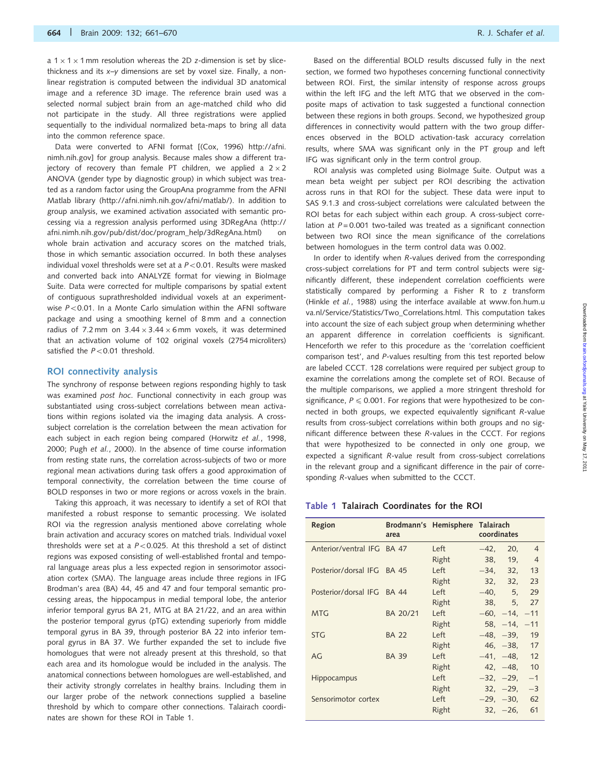a  $1 \times 1 \times 1$  mm resolution whereas the 2D z-dimension is set by slicethickness and its x–y dimensions are set by voxel size. Finally, a nonlinear registration is computed between the individual 3D anatomical image and a reference 3D image. The reference brain used was a selected normal subject brain from an age-matched child who did not participate in the study. All three registrations were applied sequentially to the individual normalized beta-maps to bring all data into the common reference space.

Data were converted to AFNI format [(Cox, 1996) [http://afni.](http://afni) nimh.nih.gov] for group analysis. Because males show a different trajectory of recovery than female PT children, we applied a  $2 \times 2$ ANOVA (gender type by diagnostic group) in which subject was treated as a random factor using the GroupAna programme from the AFNI Matlab library (<http://afni.nimh.nih.gov/afni/matlab/>). In addition to group analysis, we examined activation associated with semantic processing via a regression analysis performed using 3DRegAna (<http://> afni.nimh.nih.gov/pub/dist/doc/program\_help/3dRegAna.html) on whole brain activation and accuracy scores on the matched trials, those in which semantic association occurred. In both these analyses individual voxel thresholds were set at a  $P<0.01$ . Results were masked and converted back into ANALYZE format for viewing in BioImage Suite. Data were corrected for multiple comparisons by spatial extent of contiguous suprathresholded individual voxels at an experimentwise  $P < 0.01$ . In a Monte Carlo simulation within the AFNI software package and using a smoothing kernel of 8 mm and a connection radius of 7.2 mm on  $3.44 \times 3.44 \times 6$  mm voxels, it was determined that an activation volume of 102 original voxels (2754 microliters) satisfied the  $P < 0.01$  threshold.

#### ROI connectivity analysis

The synchrony of response between regions responding highly to task was examined post hoc. Functional connectivity in each group was substantiated using cross-subject correlations between mean activations within regions isolated via the imaging data analysis. A crosssubject correlation is the correlation between the mean activation for each subject in each region being compared (Horwitz et al., 1998, 2000; Pugh et al., 2000). In the absence of time course information from resting state runs, the correlation across-subjects of two or more regional mean activations during task offers a good approximation of temporal connectivity, the correlation between the time course of BOLD responses in two or more regions or across voxels in the brain.

Taking this approach, it was necessary to identify a set of ROI that manifested a robust response to semantic processing. We isolated ROI via the regression analysis mentioned above correlating whole brain activation and accuracy scores on matched trials. Individual voxel thresholds were set at a  $P<0.025$ . At this threshold a set of distinct regions was exposed consisting of well-established frontal and temporal language areas plus a less expected region in sensorimotor association cortex (SMA). The language areas include three regions in IFG Brodman's area (BA) 44, 45 and 47 and four temporal semantic processing areas, the hippocampus in medial temporal lobe, the anterior inferior temporal gyrus BA 21, MTG at BA 21/22, and an area within the posterior temporal gyrus (pTG) extending superiorly from middle temporal gyrus in BA 39, through posterior BA 22 into inferior temporal gyrus in BA 37. We further expanded the set to include five homologues that were not already present at this threshold, so that each area and its homologue would be included in the analysis. The anatomical connections between homologues are well-established, and their activity strongly correlates in healthy brains. Including them in our larger probe of the network connections supplied a baseline threshold by which to compare other connections. Talairach coordinates are shown for these ROI in Table 1.

Based on the differential BOLD results discussed fully in the next section, we formed two hypotheses concerning functional connectivity between ROI. First, the similar intensity of response across groups within the left IFG and the left MTG that we observed in the composite maps of activation to task suggested a functional connection between these regions in both groups. Second, we hypothesized group differences in connectivity would pattern with the two group differences observed in the BOLD activation-task accuracy correlation results, where SMA was significant only in the PT group and left IFG was significant only in the term control group.

ROI analysis was completed using BioImage Suite. Output was a mean beta weight per subject per ROI describing the activation across runs in that ROI for the subject. These data were input to SAS 9.1.3 and cross-subject correlations were calculated between the ROI betas for each subject within each group. A cross-subject correlation at  $P = 0.001$  two-tailed was treated as a significant connection between two ROI since the mean significance of the correlations between homologues in the term control data was 0.002.

In order to identify when R-values derived from the corresponding cross-subject correlations for PT and term control subjects were significantly different, these independent correlation coefficients were statistically compared by performing a Fisher R to z transform (Hinkle et al., 1988) using the interface available at www.fon.hum.u va.nl/Service/Statistics/Two\_Correlations.html. This computation takes into account the size of each subject group when determining whether an apparent difference in correlation coefficients is significant. Henceforth we refer to this procedure as the 'correlation coefficient comparison test', and P-values resulting from this test reported below are labeled CCCT. 128 correlations were required per subject group to examine the correlations among the complete set of ROI. Because of the multiple comparisons, we applied a more stringent threshold for significance,  $P \le 0.001$ . For regions that were hypothesized to be connected in both groups, we expected equivalently significant R-value results from cross-subject correlations within both groups and no significant difference between these R-values in the CCCT. For regions that were hypothesized to be connected in only one group, we expected a significant R-value result from cross-subject correlations in the relevant group and a significant difference in the pair of corresponding R-values when submitted to the CCCT.

#### Table 1 Talairach Coordinates for the ROI

| Region                     | area         | Brodmann's Hemisphere Talairach | coordinates     |                |       |
|----------------------------|--------------|---------------------------------|-----------------|----------------|-------|
| Anterior/ventral IFG BA 47 |              | Left                            | $-42.$          |                | 20.4  |
|                            |              | Right                           | 38,             |                | 19, 4 |
| Posterior/dorsal IFG BA 45 |              | Left                            | $-34$ , 32, 13  |                |       |
|                            |              | Right                           |                 | 32, 32, 23     |       |
| Posterior/dorsal IFG BA 44 |              | Left                            | $-40, 5, 29$    |                |       |
|                            |              | Right                           |                 | 38, 5,         | 27    |
| <b>MTG</b>                 | BA 20/21     | Left                            | $-60, -14, -11$ |                |       |
|                            |              | Right                           |                 | $58, -14, -11$ |       |
| <b>STG</b>                 | <b>BA 22</b> | Left                            | $-48, -39, 19$  |                |       |
|                            |              | Right                           |                 | $46, -38, 17$  |       |
| AG                         | <b>BA 39</b> | Left                            | $-41, -48, 12$  |                |       |
|                            |              | Right                           |                 | $42, -48, 10$  |       |
| <b>Hippocampus</b>         |              | Left                            | $-32, -29,$     |                | $-1$  |
|                            |              | Right                           |                 | $32, -29,$     | $-3$  |
| Sensorimotor cortex        |              | Left                            | $-29, -30, 62$  |                |       |
|                            |              | Right                           |                 | $32, -26,$     | 61    |
|                            |              |                                 |                 |                |       |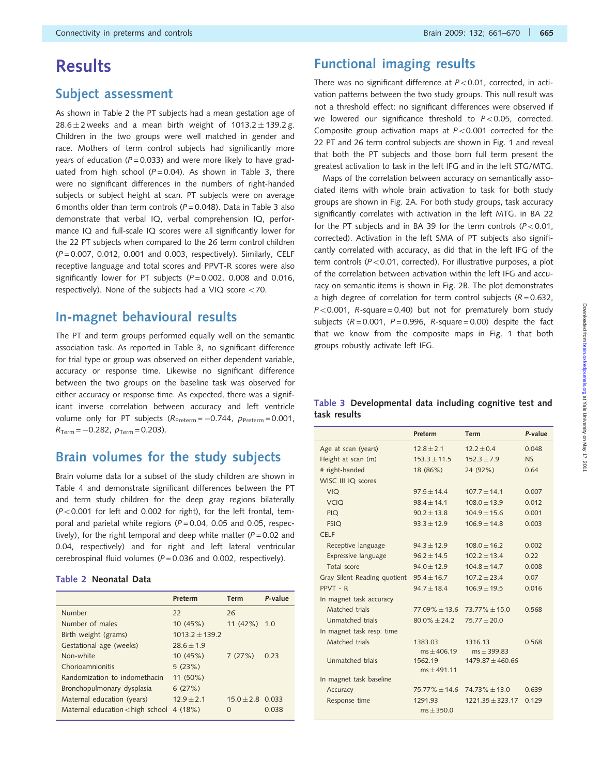## **Results**

### Subject assessment

As shown in Table 2 the PT subjects had a mean gestation age of  $28.6 \pm 2$  weeks and a mean birth weight of 1013.2  $\pm$ 139.2 g. Children in the two groups were well matched in gender and race. Mothers of term control subjects had significantly more years of education ( $P = 0.033$ ) and were more likely to have graduated from high school ( $P = 0.04$ ). As shown in Table 3, there were no significant differences in the numbers of right-handed subjects or subject height at scan. PT subjects were on average 6 months older than term controls ( $P = 0.048$ ). Data in Table 3 also demonstrate that verbal IQ, verbal comprehension IQ, performance IQ and full-scale IQ scores were all significantly lower for the 22 PT subjects when compared to the 26 term control children  $(P = 0.007, 0.012, 0.001, 0.003, respectively)$ . Similarly, CELF receptive language and total scores and PPVT-R scores were also significantly lower for PT subjects  $(P=0.002, 0.008$  and 0.016, respectively). None of the subjects had a VIQ score  $<$  70.

## In-magnet behavioural results

The PT and term groups performed equally well on the semantic association task. As reported in Table 3, no significant difference for trial type or group was observed on either dependent variable, accuracy or response time. Likewise no significant difference between the two groups on the baseline task was observed for either accuracy or response time. As expected, there was a significant inverse correlation between accuracy and left ventricle volume only for PT subjects ( $R_{\rm Preterm}$ = $-0.744$ ,  $p_{\rm Preterm}$ =0.001,  $R_{\text{Term}} = -0.282, p_{\text{Term}} = 0.203$ ).

### Brain volumes for the study subjects

Brain volume data for a subset of the study children are shown in Table 4 and demonstrate significant differences between the PT and term study children for the deep gray regions bilaterally  $(P<0.001$  for left and 0.002 for right), for the left frontal, temporal and parietal white regions ( $P = 0.04$ , 0.05 and 0.05, respectively), for the right temporal and deep white matter ( $P = 0.02$  and 0.04, respectively) and for right and left lateral ventricular cerebrospinal fluid volumes ( $P = 0.036$  and 0.002, respectively).

### Table 2 Neonatal Data

|                                      | Preterm          | <b>Term</b>        | P-value |
|--------------------------------------|------------------|--------------------|---------|
| Number                               | 22               | 26                 |         |
| Number of males                      | 10(45%)          | 11 (42%) 1.0       |         |
| Birth weight (grams)                 | $1013.2 + 139.2$ |                    |         |
| Gestational age (weeks)              | $28.6 + 1.9$     |                    |         |
| Non-white                            | 10(45%)          | 7(27%)             | 0.23    |
| Chorioamnionitis                     | 5(23%)           |                    |         |
| Randomization to indomethacin        | $11(50\%)$       |                    |         |
| Bronchopulmonary dysplasia           | 6(27%)           |                    |         |
| Maternal education (years)           | $12.9 + 2.1$     | $15.0 + 2.8$ 0.033 |         |
| Maternal education $\lt$ high school | 4(18%)           | $\Omega$           | 0.038   |

## Functional imaging results

There was no significant difference at  $P<0.01$ , corrected, in activation patterns between the two study groups. This null result was not a threshold effect: no significant differences were observed if we lowered our significance threshold to  $P < 0.05$ , corrected. Composite group activation maps at  $P < 0.001$  corrected for the 22 PT and 26 term control subjects are shown in Fig. 1 and reveal that both the PT subjects and those born full term present the greatest activation to task in the left IFG and in the left STG/MTG.

Maps of the correlation between accuracy on semantically associated items with whole brain activation to task for both study groups are shown in Fig. 2A. For both study groups, task accuracy significantly correlates with activation in the left MTG, in BA 22 for the PT subjects and in BA 39 for the term controls  $(P<0.01$ , corrected). Activation in the left SMA of PT subjects also significantly correlated with accuracy, as did that in the left IFG of the term controls ( $P < 0.01$ , corrected). For illustrative purposes, a plot of the correlation between activation within the left IFG and accuracy on semantic items is shown in Fig. 2B. The plot demonstrates a high degree of correlation for term control subjects ( $R = 0.632$ ,  $P < 0.001$ , R-square = 0.40) but not for prematurely born study subjects  $(R = 0.001, P = 0.996, R-square = 0.00)$  despite the fact that we know from the composite maps in Fig. 1 that both groups robustly activate left IFG.

#### Table 3 Developmental data including cognitive test and task results

|                              | Preterm           | <b>Term</b>        | P-value |
|------------------------------|-------------------|--------------------|---------|
| Age at scan (years)          | $12.8 + 2.1$      | $12.2 + 0.4$       | 0.048   |
| Height at scan (m)           | $153.3 + 11.5$    | $152.3 + 7.9$      | NS      |
| # right-handed               | 18 (86%)          | 24 (92%)           | 0.64    |
| WISC III IQ scores           |                   |                    |         |
| <b>VIQ</b>                   | $97.5 + 14.4$     | $107.7 + 14.1$     | 0.007   |
| <b>VCIO</b>                  | $98.4 + 14.1$     | $108.0 + 13.9$     | 0.012   |
| <b>PIQ</b>                   | $90.2 + 13.8$     | $104.9 + 15.6$     | 0.001   |
| <b>FSIO</b>                  | $93.3 + 12.9$     | $106.9 + 14.8$     | 0.003   |
| <b>CELF</b>                  |                   |                    |         |
| Receptive language           | $94.3 + 12.9$     | $108.0 + 16.2$     | 0.002   |
| Expressive language          | $96.2 \pm 14.5$   | $102.2 + 13.4$     | 0.22    |
| Total score                  | $94.0 + 12.9$     | $104.8 + 14.7$     | 0.008   |
| Gray Silent Reading quotient | $95.4 + 16.7$     | $107.2 + 23.4$     | 0.07    |
| PPVT - R                     | $94.7 + 18.4$     | $106.9 + 19.5$     | 0.016   |
| In magnet task accuracy      |                   |                    |         |
| Matched trials               | $77.09\% + 13.6$  | $73.77\% + 15.0$   | 0.568   |
| Unmatched trials             | $80.0\% \pm 24.2$ | $75.77 \pm 20.0$   |         |
| In magnet task resp. time    |                   |                    |         |
| Matched trials               | 1383.03           | 1316.13            | 0.568   |
|                              | $ms \pm 406.19$   | $ms + 399.83$      |         |
| Unmatched trials             | 1562 19           | $1479.87 + 460.66$ |         |
|                              | $ms \pm 491.11$   |                    |         |
| In magnet task baseline      |                   |                    |         |
| Accuracy                     | $75.77\% + 14.6$  | $74.73\% + 13.0$   | 0.639   |
| Response time                | 1291.93           | $1221.35 + 323.17$ | 0.129   |
|                              | $ms \pm 350.0$    |                    |         |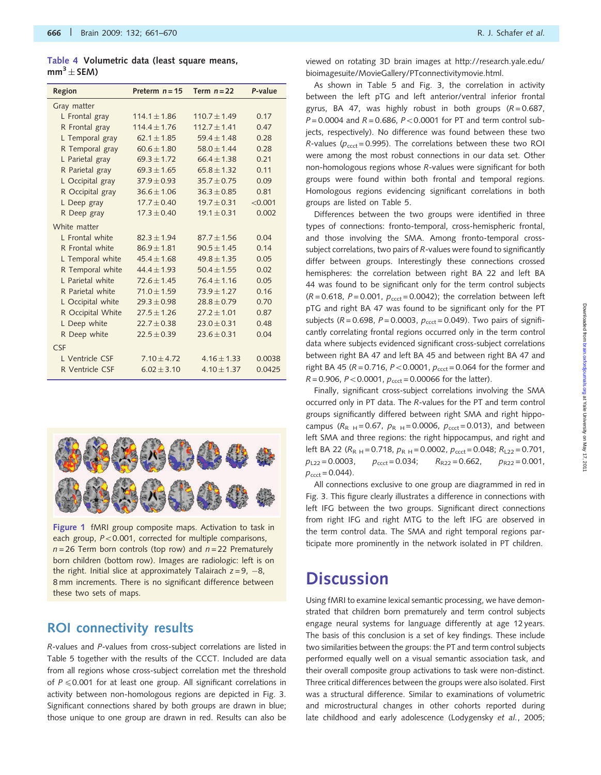|                 | Table 4 Volumetric data (least square means, |  |  |
|-----------------|----------------------------------------------|--|--|
| $mm^3 \pm$ SEM) |                                              |  |  |

| Region            | Preterm $n = 15$ | Term $n = 22$   | P-value |
|-------------------|------------------|-----------------|---------|
| Gray matter       |                  |                 |         |
| L Frontal gray    | $114.1 + 1.86$   | $110.7 + 1.49$  | 0.17    |
| R Frontal gray    | $114.4 + 1.76$   | $112.7 + 1.41$  | 0.47    |
| L Temporal gray   | $62.1 \pm 1.85$  | $59.4 + 1.48$   | 0.28    |
| R Temporal gray   | $60.6 + 1.80$    | $58.0 + 1.44$   | 0.28    |
| L Parietal gray   | $69.3 \pm 1.72$  | $66.4 + 1.38$   | 0.21    |
| R Parietal gray   | $69.3 + 1.65$    | $65.8 + 1.32$   | 0.11    |
| L Occipital gray  | $37.9 + 0.93$    | $35.7 + 0.75$   | 0.09    |
| R Occipital gray  | $36.6 + 1.06$    | $36.3 + 0.85$   | 0.81    |
| L Deep gray       | $17.7 + 0.40$    | $19.7 + 0.31$   | < 0.001 |
| R Deep gray       | $17.3 \pm 0.40$  | $19.1 + 0.31$   | 0.002   |
| White matter      |                  |                 |         |
| L Frontal white   | $82.3 + 1.94$    | $87.7 + 1.56$   | 0.04    |
| R Frontal white   | $86.9 + 1.81$    | $90.5 + 1.45$   | 0.14    |
| L Temporal white  | $45.4 \pm 1.68$  | $49.8 + 1.35$   | 0.05    |
| R Temporal white  | $44.4 \pm 1.93$  | $50.4 \pm 1.55$ | 0.02    |
| L Parietal white  | $72.6 + 1.45$    | $76.4 + 1.16$   | 0.05    |
| R Parietal white  | $71.0 \pm 1.59$  | $73.9 + 1.27$   | 0.16    |
| L Occipital white | $29.3 + 0.98$    | $28.8 + 0.79$   | 0.70    |
| R Occipital White | $27.5 + 1.26$    | $27.2 + 1.01$   | 0.87    |
| L Deep white      | $22.7 \pm 0.38$  | $23.0 + 0.31$   | 0.48    |
| R Deep white      | $22.5 \pm 0.39$  | $23.6 + 0.31$   | 0.04    |
| <b>CSF</b>        |                  |                 |         |
| L Ventricle CSF   | $7.10 + 4.72$    | $4.16 + 1.33$   | 0.0038  |
| R Ventricle CSF   | $6.02 + 3.10$    | $4.10 + 1.37$   | 0.0425  |



Figure 1 fMRI group composite maps. Activation to task in each group,  $P < 0.001$ , corrected for multiple comparisons,  $n = 26$  Term born controls (top row) and  $n = 22$  Prematurely born children (bottom row). Images are radiologic: left is on the right. Initial slice at approximately Talairach  $z = 9$ ,  $-8$ , 8 mm increments. There is no significant difference between these two sets of maps.

### ROI connectivity results

R-values and P-values from cross-subject correlations are listed in Table 5 together with the results of the CCCT. Included are data from all regions whose cross-subject correlation met the threshold of  $P \le 0.001$  for at least one group. All significant correlations in activity between non-homologous regions are depicted in Fig. 3. Significant connections shared by both groups are drawn in blue; those unique to one group are drawn in red. Results can also be

viewed on rotating 3D brain images at<http://research.yale.edu/> bioimagesuite/MovieGallery/PTconnectivitymovie.html.

As shown in Table 5 and Fig. 3, the correlation in activity between the left pTG and left anterior/ventral inferior frontal gyrus, BA 47, was highly robust in both groups  $(R = 0.687,$  $P = 0.0004$  and  $R = 0.686$ ,  $P < 0.0001$  for PT and term control subjects, respectively). No difference was found between these two R-values ( $p_{\text{ccct}}$  = 0.995). The correlations between these two ROI were among the most robust connections in our data set. Other non-homologous regions whose R-values were significant for both groups were found within both frontal and temporal regions. Homologous regions evidencing significant correlations in both groups are listed on Table 5.

Differences between the two groups were identified in three types of connections: fronto-temporal, cross-hemispheric frontal, and those involving the SMA. Among fronto-temporal crosssubject correlations, two pairs of  $R$ -values were found to significantly differ between groups. Interestingly these connections crossed hemispheres: the correlation between right BA 22 and left BA 44 was found to be significant only for the term control subjects  $(R = 0.618, P = 0.001, p_{ccct} = 0.0042)$ ; the correlation between left pTG and right BA 47 was found to be significant only for the PT subjects ( $R = 0.698$ ,  $P = 0.0003$ ,  $p_{\text{ccct}} = 0.049$ ). Two pairs of significantly correlating frontal regions occurred only in the term control data where subjects evidenced significant cross-subject correlations between right BA 47 and left BA 45 and between right BA 47 and right BA 45 ( $R = 0.716$ ,  $P < 0.0001$ ,  $p_{\text{ccct}} = 0.064$  for the former and  $R = 0.906$ ,  $P < 0.0001$ ,  $p_{\text{ccct}} = 0.00066$  for the latter).

Finally, significant cross-subject correlations involving the SMA occurred only in PT data. The R-values for the PT and term control groups significantly differed between right SMA and right hippocampus ( $R_{R,H} = 0.67$ ,  $p_{R,H} = 0.0006$ ,  $p_{ccct} = 0.013$ ), and between left SMA and three regions: the right hippocampus, and right and left BA 22 ( $R_{R H}$  = 0.718,  $p_{R H}$  = 0.0002,  $p_{ccct}$  = 0.048;  $R_{L22}$  = 0.701,  $p_{L22} = 0.0003$ ,  $p_{ccct} = 0.034$ ;  $R_{R22} = 0.662$ ,  $p_{R22} = 0.001$ ,  $p_{\text{ccct}} = 0.044$ ).

All connections exclusive to one group are diagrammed in red in Fig. 3. This figure clearly illustrates a difference in connections with left IFG between the two groups. Significant direct connections from right IFG and right MTG to the left IFG are observed in the term control data. The SMA and right temporal regions participate more prominently in the network isolated in PT children.

## **Discussion**

Using fMRI to examine lexical semantic processing, we have demonstrated that children born prematurely and term control subjects engage neural systems for language differently at age 12 years. The basis of this conclusion is a set of key findings. These include two similarities between the groups: the PT and term control subjects performed equally well on a visual semantic association task, and their overall composite group activations to task were non-distinct. Three critical differences between the groups were also isolated. First was a structural difference. Similar to examinations of volumetric and microstructural changes in other cohorts reported during late childhood and early adolescence (Lodygensky et al., 2005;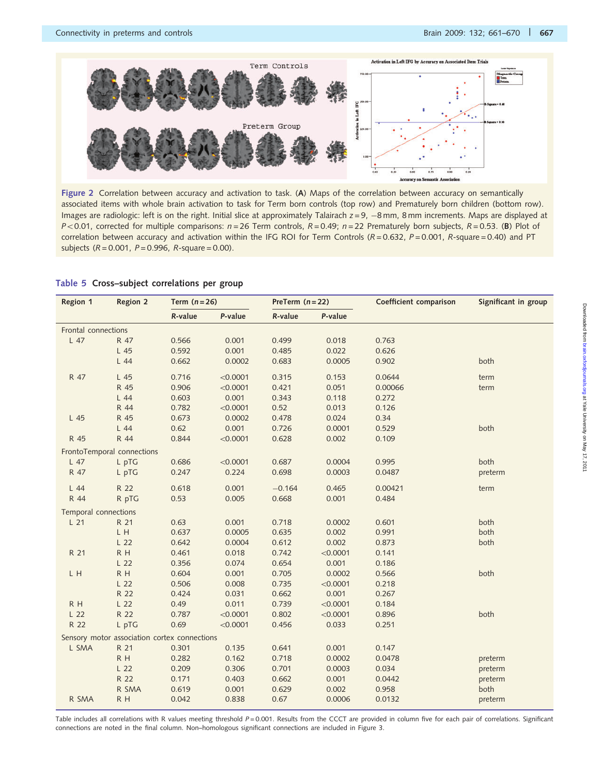

Figure 2 Correlation between accuracy and activation to task. (A) Maps of the correlation between accuracy on semantically associated items with whole brain activation to task for Term born controls (top row) and Prematurely born children (bottom row). Images are radiologic: left is on the right. Initial slice at approximately Talairach z=9, –8mm, 8mm increments. Maps are displayed at  $P<0.01$ , corrected for multiple comparisons: n = 26 Term controls, R = 0.49; n = 22 Prematurely born subjects, R = 0.53. (B) Plot of correlation between accuracy and activation within the IFG ROI for Term Controls  $(R = 0.632, P = 0.001, R-square = 0.40)$  and PT subjects  $(R = 0.001, P = 0.996, R-square = 0.00)$ .

| Region 1             | <b>Region 2</b>                              |         | Term $(n=26)$ |          | PreTerm $(n=22)$ | Coefficient comparison | Significant in group |
|----------------------|----------------------------------------------|---------|---------------|----------|------------------|------------------------|----------------------|
|                      | R-value                                      | P-value | R-value       | P-value  |                  |                        |                      |
| Frontal connections  |                                              |         |               |          |                  |                        |                      |
| L 47                 | R 47                                         | 0.566   | 0.001         | 0.499    | 0.018            | 0.763                  |                      |
|                      | L 45                                         | 0.592   | 0.001         | 0.485    | 0.022            | 0.626                  |                      |
|                      | L44                                          | 0.662   | 0.0002        | 0.683    | 0.0005           | 0.902                  | both                 |
| R 47                 | L45                                          | 0.716   | < 0.0001      | 0.315    | 0.153            | 0.0644                 | term                 |
|                      | R 45                                         | 0.906   | < 0.0001      | 0.421    | 0.051            | 0.00066                | term                 |
|                      | L44                                          | 0.603   | 0.001         | 0.343    | 0.118            | 0.272                  |                      |
|                      | R 44                                         | 0.782   | < 0.0001      | 0.52     | 0.013            | 0.126                  |                      |
| L45                  | R 45                                         | 0.673   | 0.0002        | 0.478    | 0.024            | 0.34                   |                      |
|                      | L44                                          | 0.62    | 0.001         | 0.726    | 0.0001           | 0.529                  | both                 |
| R 45                 | R 44                                         | 0.844   | < 0.0001      | 0.628    | 0.002            | 0.109                  |                      |
|                      | FrontoTemporal connections                   |         |               |          |                  |                        |                      |
| $L$ 47               | L pTG                                        | 0.686   | < 0.0001      | 0.687    | 0.0004           | 0.995                  | both                 |
| R 47                 | L pTG                                        | 0.247   | 0.224         | 0.698    | 0.0003           | 0.0487                 | preterm              |
| L44                  | R 22                                         | 0.618   | 0.001         | $-0.164$ | 0.465            | 0.00421                | term                 |
| R 44                 | R pTG                                        | 0.53    | 0.005         | 0.668    | 0.001            | 0.484                  |                      |
| Temporal connections |                                              |         |               |          |                  |                        |                      |
| L <sub>21</sub>      | R 21                                         | 0.63    | 0.001         | 0.718    | 0.0002           | 0.601                  | both                 |
|                      | L H                                          | 0.637   | 0.0005        | 0.635    | 0.002            | 0.991                  | both                 |
|                      | L <sub>22</sub>                              | 0.642   | 0.0004        | 0.612    | 0.002            | 0.873                  | both                 |
| R 21                 | R H                                          | 0.461   | 0.018         | 0.742    | < 0.0001         | 0.141                  |                      |
|                      | L <sub>22</sub>                              | 0.356   | 0.074         | 0.654    | 0.001            | 0.186                  |                      |
| L H                  | R H                                          | 0.604   | 0.001         | 0.705    | 0.0002           | 0.566                  | both                 |
|                      | L <sub>22</sub>                              | 0.506   | 0.008         | 0.735    | < 0.0001         | 0.218                  |                      |
|                      | R 22                                         | 0.424   | 0.031         | 0.662    | 0.001            | 0.267                  |                      |
| R H                  | L <sub>22</sub>                              | 0.49    | 0.011         | 0.739    | < 0.0001         | 0.184                  |                      |
| L <sub>22</sub>      | R 22                                         | 0.787   | < 0.0001      | 0.802    | < 0.0001         | 0.896                  | both                 |
| R 22                 | L pTG                                        | 0.69    | < 0.0001      | 0.456    | 0.033            | 0.251                  |                      |
|                      | Sensory motor association cortex connections |         |               |          |                  |                        |                      |
| L SMA                | R 21                                         | 0.301   | 0.135         | 0.641    | 0.001            | 0.147                  |                      |
|                      | R H                                          | 0.282   | 0.162         | 0.718    | 0.0002           | 0.0478                 | preterm              |
|                      | L <sub>22</sub>                              | 0.209   | 0.306         | 0.701    | 0.0003           | 0.034                  | preterm              |
|                      | R 22                                         | 0.171   | 0.403         | 0.662    | 0.001            | 0.0442                 | preterm              |
|                      | R SMA                                        | 0.619   | 0.001         | 0.629    | 0.002            | 0.958                  | both                 |
| R SMA                | R H                                          | 0.042   | 0.838         | 0.67     | 0.0006           | 0.0132                 | preterm              |

#### Table 5 Cross–subject correlations per group

Table includes all correlations with R values meeting threshold P=0.001. Results from the CCCT are provided in column five for each pair of correlations. Significant connections are noted in the final column. Non–homologous significant connections are included in Figure 3.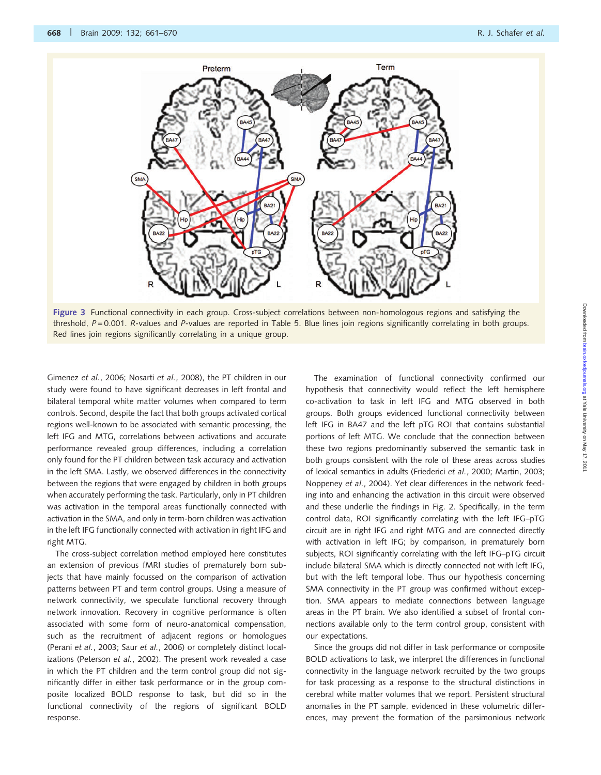

Figure 3 Functional connectivity in each group. Cross-subject correlations between non-homologous regions and satisfying the threshold,  $P = 0.001$ . R-values and P-values are reported in Table 5. Blue lines join regions significantly correlating in both groups. Red lines join regions significantly correlating in a unique group.

Gimenez et al., 2006; Nosarti et al., 2008), the PT children in our study were found to have significant decreases in left frontal and bilateral temporal white matter volumes when compared to term controls. Second, despite the fact that both groups activated cortical regions well-known to be associated with semantic processing, the left IFG and MTG, correlations between activations and accurate performance revealed group differences, including a correlation only found for the PT children between task accuracy and activation in the left SMA. Lastly, we observed differences in the connectivity between the regions that were engaged by children in both groups when accurately performing the task. Particularly, only in PT children was activation in the temporal areas functionally connected with activation in the SMA, and only in term-born children was activation in the left IFG functionally connected with activation in right IFG and right MTG.

The cross-subject correlation method employed here constitutes an extension of previous fMRI studies of prematurely born subjects that have mainly focussed on the comparison of activation patterns between PT and term control groups. Using a measure of network connectivity, we speculate functional recovery through network innovation. Recovery in cognitive performance is often associated with some form of neuro-anatomical compensation, such as the recruitment of adjacent regions or homologues (Perani et al., 2003; Saur et al., 2006) or completely distinct localizations (Peterson et al., 2002). The present work revealed a case in which the PT children and the term control group did not significantly differ in either task performance or in the group composite localized BOLD response to task, but did so in the functional connectivity of the regions of significant BOLD response.

The examination of functional connectivity confirmed our hypothesis that connectivity would reflect the left hemisphere co-activation to task in left IFG and MTG observed in both groups. Both groups evidenced functional connectivity between left IFG in BA47 and the left pTG ROI that contains substantial portions of left MTG. We conclude that the connection between these two regions predominantly subserved the semantic task in both groups consistent with the role of these areas across studies of lexical semantics in adults (Friederici et al., 2000; Martin, 2003; Noppeney et al., 2004). Yet clear differences in the network feeding into and enhancing the activation in this circuit were observed and these underlie the findings in Fig. 2. Specifically, in the term control data, ROI significantly correlating with the left IFG–pTG circuit are in right IFG and right MTG and are connected directly with activation in left IFG; by comparison, in prematurely born subjects, ROI significantly correlating with the left IFG–pTG circuit include bilateral SMA which is directly connected not with left IFG, but with the left temporal lobe. Thus our hypothesis concerning SMA connectivity in the PT group was confirmed without exception. SMA appears to mediate connections between language areas in the PT brain. We also identified a subset of frontal connections available only to the term control group, consistent with our expectations.

Since the groups did not differ in task performance or composite BOLD activations to task, we interpret the differences in functional connectivity in the language network recruited by the two groups for task processing as a response to the structural distinctions in cerebral white matter volumes that we report. Persistent structural anomalies in the PT sample, evidenced in these volumetric differences, may prevent the formation of the parsimonious network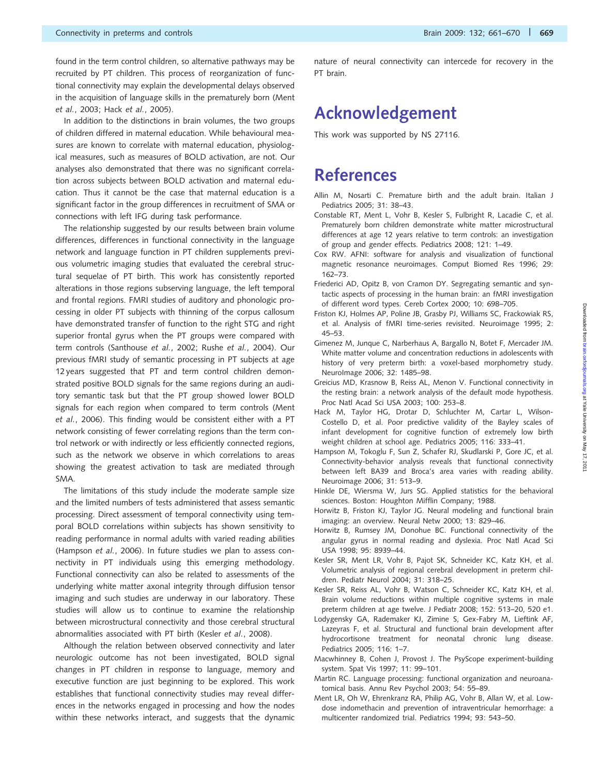found in the term control children, so alternative pathways may be recruited by PT children. This process of reorganization of functional connectivity may explain the developmental delays observed in the acquisition of language skills in the prematurely born (Ment et al., 2003; Hack et al., 2005).

In addition to the distinctions in brain volumes, the two groups of children differed in maternal education. While behavioural measures are known to correlate with maternal education, physiological measures, such as measures of BOLD activation, are not. Our analyses also demonstrated that there was no significant correlation across subjects between BOLD activation and maternal education. Thus it cannot be the case that maternal education is a significant factor in the group differences in recruitment of SMA or connections with left IFG during task performance.

The relationship suggested by our results between brain volume differences, differences in functional connectivity in the language network and language function in PT children supplements previous volumetric imaging studies that evaluated the cerebral structural sequelae of PT birth. This work has consistently reported alterations in those regions subserving language, the left temporal and frontal regions. FMRI studies of auditory and phonologic processing in older PT subjects with thinning of the corpus callosum have demonstrated transfer of function to the right STG and right superior frontal gyrus when the PT groups were compared with term controls (Santhouse et al., 2002; Rushe et al., 2004). Our previous fMRI study of semantic processing in PT subjects at age 12 years suggested that PT and term control children demonstrated positive BOLD signals for the same regions during an auditory semantic task but that the PT group showed lower BOLD signals for each region when compared to term controls (Ment et al., 2006). This finding would be consistent either with a PT network consisting of fewer correlating regions than the term control network or with indirectly or less efficiently connected regions, such as the network we observe in which correlations to areas showing the greatest activation to task are mediated through SMA.

The limitations of this study include the moderate sample size and the limited numbers of tests administered that assess semantic processing. Direct assessment of temporal connectivity using temporal BOLD correlations within subjects has shown sensitivity to reading performance in normal adults with varied reading abilities (Hampson et al., 2006). In future studies we plan to assess connectivity in PT individuals using this emerging methodology. Functional connectivity can also be related to assessments of the underlying white matter axonal integrity through diffusion tensor imaging and such studies are underway in our laboratory. These studies will allow us to continue to examine the relationship between microstructural connectivity and those cerebral structural abnormalities associated with PT birth (Kesler et al., 2008).

Although the relation between observed connectivity and later neurologic outcome has not been investigated, BOLD signal changes in PT children in response to language, memory and executive function are just beginning to be explored. This work establishes that functional connectivity studies may reveal differences in the networks engaged in processing and how the nodes within these networks interact, and suggests that the dynamic nature of neural connectivity can intercede for recovery in the PT brain.

## Acknowledgement

This work was supported by NS 27116.

## References

- Allin M, Nosarti C. Premature birth and the adult brain. Italian J Pediatrics 2005; 31: 38–43.
- Constable RT, Ment L, Vohr B, Kesler S, Fulbright R, Lacadie C, et al. Prematurely born children demonstrate white matter microstructural differences at age 12 years relative to term controls: an investigation of group and gender effects. Pediatrics 2008; 121: 1–49.
- Cox RW. AFNI: software for analysis and visualization of functional magnetic resonance neuroimages. Comput Biomed Res 1996; 29: 162–73.
- Friederici AD, Opitz B, von Cramon DY. Segregating semantic and syntactic aspects of processing in the human brain: an fMRI investigation of different word types. Cereb Cortex 2000; 10: 698–705.
- Friston KJ, Holmes AP, Poline JB, Grasby PJ, Williams SC, Frackowiak RS, et al. Analysis of fMRI time-series revisited. Neuroimage 1995; 2: 45–53.
- Gimenez M, Junque C, Narberhaus A, Bargallo N, Botet F, Mercader JM. White matter volume and concentration reductions in adolescents with history of very preterm birth: a voxel-based morphometry study. NeuroImage 2006; 32: 1485–98.
- Greicius MD, Krasnow B, Reiss AL, Menon V. Functional connectivity in the resting brain: a network analysis of the default mode hypothesis. Proc Natl Acad Sci USA 2003; 100: 253–8.
- Hack M, Taylor HG, Drotar D, Schluchter M, Cartar L, Wilson-Costello D, et al. Poor predictive validity of the Bayley scales of infant development for cognitive function of extremely low birth weight children at school age. Pediatrics 2005; 116: 333–41.
- Hampson M, Tokoglu F, Sun Z, Schafer RJ, Skudlarski P, Gore JC, et al. Connectivity-behavior analysis reveals that functional connectivity between left BA39 and Broca's area varies with reading ability. Neuroimage 2006; 31: 513–9.
- Hinkle DE, Wiersma W, Jurs SG. Applied statistics for the behavioral sciences. Boston: Houghton Mifflin Company; 1988.
- Horwitz B, Friston KJ, Taylor JG. Neural modeling and functional brain imaging: an overview. Neural Netw 2000; 13: 829–46.
- Horwitz B, Rumsey JM, Donohue BC. Functional connectivity of the angular gyrus in normal reading and dyslexia. Proc Natl Acad Sci USA 1998; 95: 8939–44.
- Kesler SR, Ment LR, Vohr B, Pajot SK, Schneider KC, Katz KH, et al. Volumetric analysis of regional cerebral development in preterm children. Pediatr Neurol 2004; 31: 318–25.
- Kesler SR, Reiss AL, Vohr B, Watson C, Schneider KC, Katz KH, et al. Brain volume reductions within multiple cognitive systems in male preterm children at age twelve. J Pediatr 2008; 152: 513–20, 520 e1.
- Lodygensky GA, Rademaker KJ, Zimine S, Gex-Fabry M, Lieftink AF, Lazeyras F, et al. Structural and functional brain development after hydrocortisone treatment for neonatal chronic lung disease. Pediatrics 2005; 116: 1–7.
- Macwhinney B, Cohen J, Provost J. The PsyScope experiment-building system. Spat Vis 1997; 11: 99–101.
- Martin RC. Language processing: functional organization and neuroanatomical basis. Annu Rev Psychol 2003; 54: 55–89.
- Ment LR, Oh W, Ehrenkranz RA, Philip AG, Vohr B, Allan W, et al. Lowdose indomethacin and prevention of intraventricular hemorrhage: a multicenter randomized trial. Pediatrics 1994; 93: 543–50.